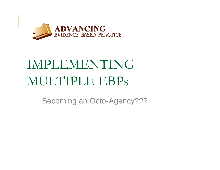

# IMPLEMENTING MULTIPLE EBPs

Becoming an Octo-Agency???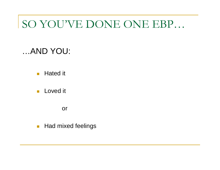### SO YOU'VE DONE ONE EBP…

#### …AND YOU:

 $\overline{\mathcal{L}}$ Hated it

 $\mathcal{C}^{\mathcal{A}}$ Loved it

or

 $\frac{1}{2}$ Had mixed feelings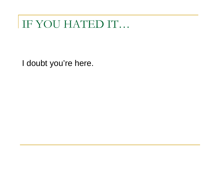### IF YOU HATED IT...

I doubt you're here.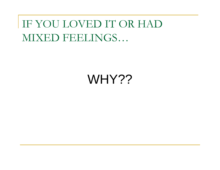IF YOU LOVED IT OR HAD MIXED FEELINGS…

### WHY??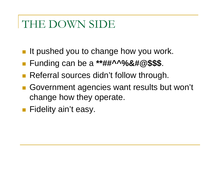### THE DOWN SIDE

- **If pushed you to change how you work.**
- Funding can be a **\*\*##^^%&#@\$\$\$**.
- **Referral sources didn't follow through.**
- $\mathbb{R}^{\mathbb{Z}}$  Government agencies want results but won't change how they operate.
- **Fidelity ain't easy.**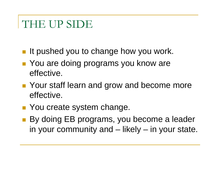#### THE UP SIDE

- **If pushed you to change how you work.**
- You are doing programs you know are effective.
- **Pandity Your staff learn and grow and become more** effective.
- **Nou create system change.**
- By doing EB programs, you become a leader in your community and – likely – in your state.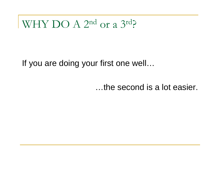WHY DO A 2nd or a 3rd?

If you are doing your first one well...

...the second is a lot easier.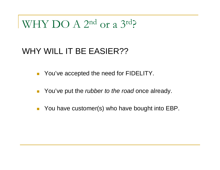### WHY DO A 2<sup>nd</sup> or a 3<sup>rd</sup>?

#### WHY WILL IT BE EASIER??

- You've accepted the need for FIDELITY.
- $\overline{\mathcal{A}}$ You've put the *rubber to the road* once already.
- $\mathcal{L}_{\mathcal{A}}$ You have customer(s) who have bought into EBP.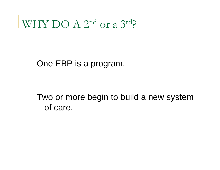WHY DO A 2<sup>nd</sup> or a 3<sup>rd</sup>?

One EBP is a program.

Two or more begin to build a new system of care.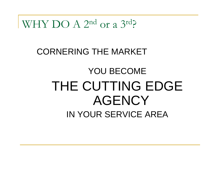WHY DO  $A$  2<sup>nd</sup> or a 3<sup>rd</sup>?

#### **CORNERING THE MARKET**

### **YOU BECOME** THE CUTTING EDGE **AGENCY** IN YOUR SERVICE AREA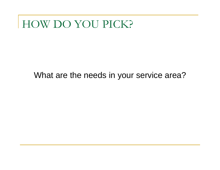#### What are the needs in your service area?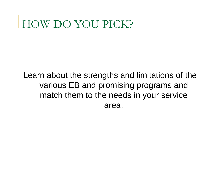Learn about the strengths and limitations of the various EB and promising programs and match them to the needs in your service area.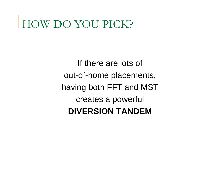If there are lots of out-of-home placements, having both FFT and MST creates a powerful **DIVERSION TANDEM**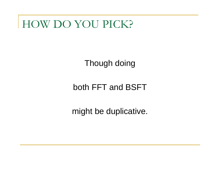Though doing

both FFT and BSFT

might be duplicative.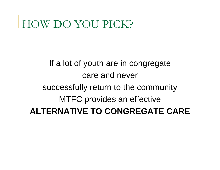If a lot of youth are in congregate care and never successfully return to the community MTFC provides an effective **ALTERNATIVE TO CONGREGATE CARE**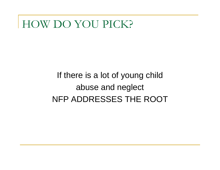#### If there is a lot of young child abuse and neglect NFP ADDRESSES THE ROOT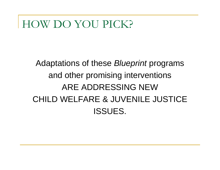#### Adaptations of these *Blueprint* programs and other promising interventions ARE ADDRESSING NEWCHILD WELFARE & JUVENILE JUSTICEISSUES.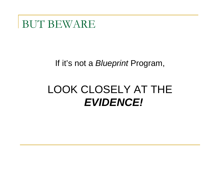BUT BEWARE

#### If it's not a *Blueprint* Program,

### LOOK CLOSELY AT THE *EVIDENCE!*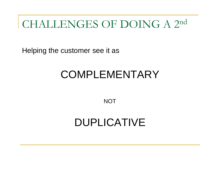Helping the customer see it as

### COMPLEMENTARY

**NOT** 

#### DUPLICATIVE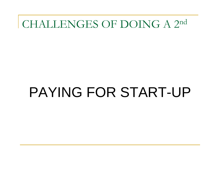# PAYING FOR START-UP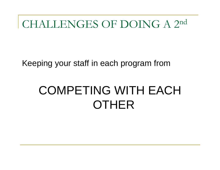Keeping your staff in each program from

# **COMPETING WITH EACH OTHER**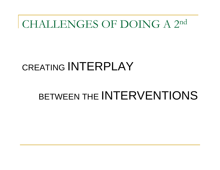### CREATING INTERPLAY

### BETWEEN THE INTERVENTIONS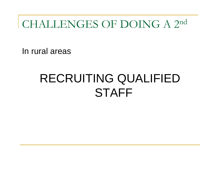In rural areas

# RECRUITING QUALIFIED **STAFF**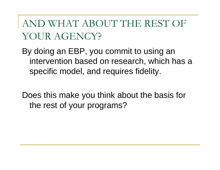AND WHAT ABOUT THE REST OF YOUR AGENCY?

By doing an EBP, you commit to using an intervention based on research, which has a specific model, and requires fidelity.

Does this make you think about the basis for the rest of your programs?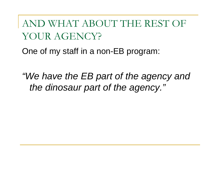AND WHAT ABOUT THE REST OF YOUR AGENCY?

One of my staff in a non-EB program:

*"We have the EB part of the agency and the dinosaur part of the agency."*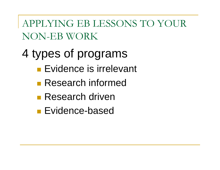APPLYING EB LESSONS TO YOUR NON-EB WORK

- 4 types of programs
	- **Evidence is irrelevant**
	- **Research informed**
	- Research driven
	- **Evidence-based**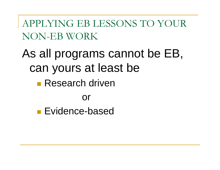APPLYING EB LESSONS TO YOUR NON-EB WORK

As all programs cannot be EB, can yours at least be ■ Research driven

#### or

**Evidence-based**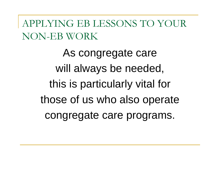APPLYING EB LESSONS TO YOUR NON-EB WORK

> As congregate care will always be needed, this is particularly vital for those of us who also operate congregate care programs.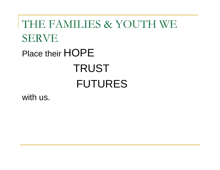# THE FAMILIES & YOUTH WE SERVE Place their HOPE **TRUST** FUTURES

with us.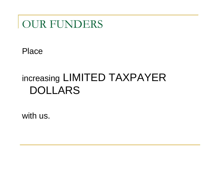#### OUR FUNDERS

Place

### increasing LIMITED TAXPAYER DOLLARS

with us.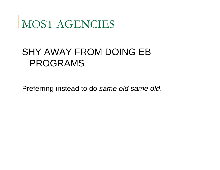#### MOST AGENCIES

#### SHY AWAY FROM DOING EB PROGRAMS

Preferring instead to do *same old same old*.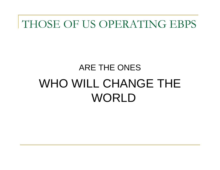#### THOSE OF US OPERATING EBPS

# ARE THE ONESWHO WILL CHANGE THE WORLD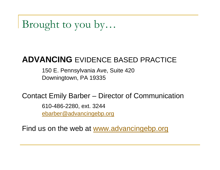Brought to you by…

#### **ADVANCING** EVIDENCE BASED PRACTICE

150 E. Pennsylvania Ave, Suite 420 Downingtown, PA 19335

Contact Emily Barber – Director of Communication

610-486-2280, ext. 3244 ebarber@advancingebp.org

Find us on the web at www.advancingebp.org